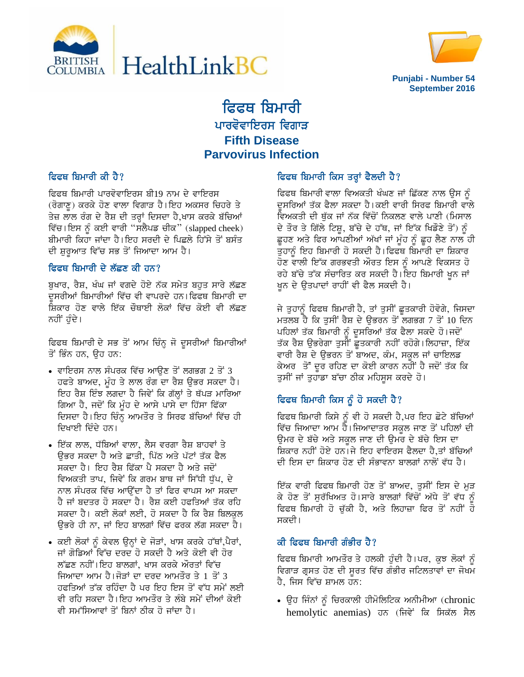



**Punjabi - Number 54 September 2016**

# ਫਿਫਥ ਬਿਮਾਰੀ ਪਾਰਵੋਵਾਇਰਸ ਵਿਗਾੜ **Fifth Disease Parvovirus Infection**

# ਫਿਫਥ ਬਿਮਾਰੀ ਕੀ ਹੈ?

ਫਿਫਥ ਬਿਮਾਰੀ ਪਾਰਵੋਵਾਇਰਸ ਬੀ19 ਨਾਮ ਦੇ ਵਾਇਰਸ (ਰੋਗਾਣੂ) ਕਰਕੇ ਹੋਣ ਵਾਲਾ ਵਿਗਾੜ ਹੈ।ਇਹ ਅਕਸਰ ਚਿਹਰੇ ਤੇ ਤੇਜ਼ ਲਾਲ ਰੰਗ ਦੇ ਰੈਸ਼ ਦੀ ਤਰ੍ਹਾਂ ਦਿਸਦਾ ਹੈ,ਖਾਸ ਕਰਕੇ ਬੱਚਿਆਂ ਵਿੱਚ। ਇਸ ਨੂੰ ਕਈ ਵਾਰੀ "ਸਲੈਪਡ ਚੀਕ" (slapped cheek) ਬੀਮਾਰੀ ਕਿਹਾ ਜਾਂਦਾ ਹੈ। ਇਹ ਸਰਦੀ ਦੇ ਪਿਛਲੇ ਹਿੱਸੇ ਤੋਂ ਬਸੰਤ ਦੀ ਸ਼ੁਰੁਆਤ ਵਿੱਚ ਸਭ ਤੋਂ ਜਿਆਦਾ ਆਮ ਹੈ।

# ਫਿਫਥ ਬਿਮਾਰੀ ਦੇ ਲੱਛਣ ਕੀ ਹਨ?

ਬੁਖਾਰ, ਰੈਸ਼, ਖੰਘ ਜਾਂ ਵਗਦੇ ਹੋਏ ਨੱਕ ਸਮੇਤ ਬਹੁਤ ਸਾਰੇ ਲੱਛਣ ਦੁਸਰੀਆਂ ਬਿਮਾਰੀਆਂ ਵਿੱਚ ਵੀ ਵਾਪਰਦੇ ਹਨ। ਫਿਫਥ ਬਿਮਾਰੀ ਦਾ <u>ਸ਼ਿਕਾਰ ਹੋਣ ਵਾਲੇ ਇੱਕ ਚੌਥਾਈ ਲੋਕਾਂ ਵਿੱਚ ਕੋਈ ਵੀ ਲੱਛਣ</u> ਨਹੀਂ ਹੰਦੇ।

ਫਿਫਥ ਬਿਮਾਰੀ ਦੇ ਸਭ ਤੋਂ ਆਮ ਚਿੰਨ੍ਹ ਜੋ ਦੁਸਰੀਆਂ ਬਿਮਾਰੀਆਂ ਤੋਂ ਭਿੰਨ ਹਨ. ਉਹ ਹਨ:

- $\bullet$  ਵਾਇਰਸ ਨਾਲ ਸੰਪਰਕ ਵਿੱਚ ਆੳਣ ਤੋਂ ਲਗਭਗ 2 ਤੋਂ 3 ਹਫਤੇ ਬਾਅਦ, ਮੰਹ ਤੇ ਲਾਲ ਰੰਗ ਦਾ ਰੈਸ਼ ੳਭਰ ਸਕਦਾ ਹੈ। ਇਹ ਰੈਸ਼ ਇੰਝ ਲਗਦਾ ਹੈ ਜਿਵੇਂ ਕਿ ਗੱਲ੍ਹਾਂ ਤੇ ਥੱਪੜ ਮਾਰਿਆ ਗਿਆ ਹੈ, ਜਦੋਂ ਕਿ ਮੰਹ ਦੇ ਆਸੇ ਪਾਸੇ ਦਾ ਹਿੱਸਾ ਫਿੱਕਾ ਦਿਸਦਾ ਹੈ।ਇਹ ਚਿੰਨ੍ਹ ਆਮਤੌਰ ਤੇ ਸਿਰਫ ਬੱਚਿਆਂ ਵਿੱਚ ਹੀ ਦਿਖਾਈ ਦਿੰਦੇ ਹਨ।
- ਇੱਕ ਲਾਲ, ਧੱਬਿਆਂ ਵਾਲਾ, ਲੈਸ ਵਰਗਾ ਰੈਸ਼ ਬਾਹਵਾਂ ਤੇ ਉਭਰ ਸਕਦਾ ਹੈ ਅਤੇ ਛਾਤੀ, ਪਿੱਠ ਅਤੇ ਪੱਟਾਂ ਤੱਕ ਫੈਲ ਸਕਦਾ ਹੈ। ਇਹ ਰੈਸ਼ ਫਿੱਕਾ ਪੈ ਸਕਦਾ ਹੈ ਅਤੇ ਜਦੋਂ ਵਿਅਕਤੀ ਤਾਪ, ਜਿਵੇਂ ਕਿ ਗਰਮ ਬਾਥ ਜਾਂ ਸਿੱਧੀ ਧੁੱਪ, ਦੇ ਨਾਲ ਸੰਪਰਕ ਵਿੱਚ ਆਉਂਦਾ ਹੈ ਤਾਂ ਫਿਰ ਵਾਪਸ ਆ ਸਕਦਾ ਹੈ ਜਾਂ ਬਦਤਰ ਹੋ ਸਕਦਾ ਹੈ। ਰੈਸ਼ ਕਈ ਹਫਤਿਆਂ ਤੱਕ ਰਹਿ ਸਕਦਾ ਹੈ। ਕਈ ਲੋਕਾਂ ਲਈ, ਹੋ ਸਕਦਾ ਹੈ ਕਿ ਰੈਸ਼ ਬਿਲਕਲ ੳਭਰੇ ਹੀ ਨਾ, ਜਾਂ ਇਹ ਬਾਲਗਾਂ ਵਿੱਚ ਫਰਕ ਲੱਗ ਸਕਦਾ ਹੈ।
- ਕਈ ਲੋਕਾਂ ਨੂੰ ਕੇਵਲ ਉਨ੍ਹਾਂ ਦੇ ਜੋੜਾਂ, ਖਾਸ ਕਰਕੇ ਹੱਥਾਂ,ਪੈਰਾਂ, ਜਾਂ ਗੋਡਿਆਂ ਵਿੱਚ ਦਰਦ ਹੋ ਸਕਦੀ ਹੈ ਅਤੇ ਕੋਈ ਵੀ ਹੋਰ ਲੱਛਣ ਨਹੀਂ।ਇਹ ਬਾਲਗਾਂ, ਖਾਸ ਕਰਕੇ ਔਰਤਾਂ ਵਿੱਚ ਜਿਆਦਾ ਆਮ ਹੈ।ਜੋੜਾਂ ਦਾ ਦਰਦ ਆਮਤੌਰ ਤੇ 1 ਤੋਂ 3 ਹਫਤਿਆਂ ਤੱਕ ਰਹਿੰਦਾ ਹੈ ਪਰ ਇਹ ਇਸ ਤੋਂ ਵੱਧ ਸਮੇਂ ਲਈ ਵੀ ਰਹਿ ਸਕਦਾ ਹੈ।ਇਹ ਆਮਤੌਰ ਤੇ ਲੰਬੇ ਸਮੇਂ ਦੀਆਂ ਕੋਈ ਵੀ ਸਮੱਸਿਆਵਾਂ ਤੋਂ ਬਿਨਾਂ ਠੀਕ ਹੋ ਜਾਂਦਾ ਹੈ।

# ਫਿਫਥ ਬਿਮਾਰੀ ਕਿਸ ਤਰ੍ਹਾਂ ਫੈਲਦੀ ਹੈ?

ਫਿਫਥ ਬਿਮਾਰੀ ਵਾਲਾ ਵਿਅਕਤੀ ਖੰਘਣ ਜਾਂ ਛਿੱਕਣ ਨਾਲ ੳਸ ਨੰ ਦਸਰਿਆਂ ਤੱਕ ਫੈਲਾ ਸਕਦਾ ਹੈ।ਕਈ ਵਾਰੀ ਸਿਰਫ ਬਿਮਾਰੀ ਵਾਲੇ ਵਿਅਕਤੀ ਦੀ ਥੁੱਕ ਜਾਂ ਨੱਕ ਵਿੱਚੋਂ ਨਿਕਲਣ ਵਾਲੇ ਪਾਣੀ (ਮਿਸਾਲ ਦੇ ਤੌਰ ਤੇ ਗਿੱਲੇ ਟਿਸ਼ੂ, ਬੱਚੇ ਦੇ ਹੱਥ, ਜਾਂ ਇੱਕ ਖਿਡੌਣੇ ਤੋਂ) ਨੂੰ ਛੁਹਣ ਅਤੇ ਫਿਰ ਆਪਣੀਆਂ ਅੱਖਾਂ ਜਾਂ ਮੁੰਹ ਨੂੰ ਛੁਹ ਲੈਣ ਨਾਲ ਹੀ ਤੁਹਾਨੂੰ ਇਹ ਬਿਮਾਰੀ ਹੋ ਸਕਦੀ ਹੈ।ਫਿਫਥ ਬਿਮਾਰੀ ਦਾ ਸ਼ਿਕਾਰ ਹੋਣ ਵਾਲੀ ਇੱਕ ਗਰਭਵਤੀ ਔਰਤ ਇਸ ਨੂੰ ਆਪਣੇ ਵਿਕਸਤ ਹੋ ਰਹੇ ਬੱਚੇ ਤੱਕ ਸੰਚਾਰਿਤ ਕਰ ਸਕਦੀ ਹੈ।ਇਹ ਬਿਮਾਰੀ ਖੂਨ ਜਾਂ ਖ਼ਨ ਦੇ ਉਤਪਾਦਾਂ ਰਾਹੀਂ ਵੀ ਫੈਲ ਸਕਦੀ ਹੈ।

ਜੇ ਤੁਹਾਨੂੰ ਫਿਫਥ ਬਿਮਾਰੀ ਹੈ, ਤਾਂ ਤੁਸੀਂ ਛੁਤਕਾਰੀ ਹੋਵੋਗੇ, ਜਿਸਦਾ ਮਤਲਬ ਹੈ ਕਿ ਤੁਸੀਂ ਰੈਸ਼ ਦੇ ਉਭਰਨ ਤੋਂ ਲਗਭਗ 7 ਤੋਂ 10 ਦਿਨ ਪਹਿਲਾਂ ਤੱਕ ਬਿਮਾਰੀ ਨੂੰ ਦੁਸਰਿਆਂ ਤੱਕ ਫੈਲਾ ਸਕਦੇ ਹੋ।ਜਦੋਂ ਤੱਕ ਰੈਸ਼ ਉਭਰੇਗਾ ਤੁਸੀਂ ਛੁਤਕਾਰੀ ਨਹੀਂ ਰਹੋਗੇ।ਲਿਹਾਜ਼ਾ, ਇੱਕ ਵਾਰੀ ਰੈਸ਼ ਦੇ ਉਭਰਨ ਤੋਂ ਬਾਅਦ, ਕੰਮ, ਸਕੂਲ ਜਾਂ ਚਾਇਲਡ ਕੇਅਰ ਤੋਂ ਦੂਰ ਰਹਿਣ ਦਾ ਕੋਈ ਕਾਰਨ ਨਹੀਂ ਹੈ ਜਦੋਂ ਤੱਕ ਕਿ ਤੁਸੀਂ ਜਾਂ ਤੁਹਾਡਾ ਬੱਚਾ ਠੀਕ ਮਹਿਸੂਸ ਕਰਦੇ ਹੋ।

# ਫਿਫਥ ਬਿਮਾਰੀ ਕਿਸ ਨੂੰ ਹੋ ਸਕਦੀ ਹੈ?

ਫਿਫਥ ਬਿਮਾਰੀ ਕਿਸੇ ਨੰ ਵੀ ਹੋ ਸਕਦੀ ਹੈ,ਪਰ ਇਹ ਛੋਟੇ ਬੱਚਿਆਂ ਵਿੱਚ ਜਿਆਦਾ ਆਮ ਹੈ।ਜਿਆਦਾਤਰ ਸਕੂਲ ਜਾਣ ਤੋਂ ਪਹਿਲਾਂ ਦੀ ਉਮਰ ਦੇ ਬੱਚੇ ਅਤੇ ਸਕੂਲ ਜਾਣ ਦੀ ਉਮਰ ਦੇ ਬੱਚੇ ਇਸ ਦਾ ਸ਼ਿਕਾਰ ਨਹੀਂ ਹੋਏ ਹਨ।ਜੇ ਇਹ ਵਾਇਰਸ ਫੈਲਦਾ ਹੈ,ਤਾਂ ਬੱਚਿਆਂ ਦੀ ਇਸ ਦਾ ਸ਼ਿਕਾਰ ਹੋਣ ਦੀ ਸੰਭਾਵਨਾ ਬਾਲਗਾਂ ਨਾਲੋਂ ਵੱਧ ਹੈ।

ਇੱਕ ਵਾਰੀ ਫਿਫਥ ਬਿਮਾਰੀ ਹੋਣ ਤੋਂ ਬਾਅਦ, ਤੁਸੀਂ ਇਸ ਦੇ ਮੁੜ ਕੇ ਹੋਣ ਤੋਂ ਸੁਰੱਖਿਅਤ ਹੋ।ਸਾਰੇ ਬਾਲਗਾਂ ਵਿੱਚੋਂ ਅੱਧੇ ਤੋਂ ਵੱਧ ਨੂੰ ਫਿਫਥ ਬਿਮਾਰੀ ਹੋ ਚੱਕੀ ਹੈ, ਅਤੇ ਲਿਹਾਜ਼ਾ ਫਿਰ ਤੋਂ ਨਹੀਂ ਹੋ ਸਕਦੀ।

# ਕੀ ਫਿਫਥ ਬਿਮਾਰੀ ਗੰਭੀਰ ਹੈ $?$

ਫਿਫਥ ਬਿਮਾਰੀ ਆਮਤੌਰ ਤੇ ਹਲਕੀ ਹੁੰਦੀ ਹੈ।ਪਰ, ਕੁਝ ਲੋਕਾਂ ਨੂੰ ਵਿਗਾੜ ਗ੍ਰਸਤ ਹੋਣ ਦੀ ਸੂਰਤ ਵਿੱਚ ਗੰਭੀਰ ਜਟਿਲਤਾਵਾਂ ਦਾ ਜੋਖਮ ਹੈ. ਜਿਸ ਵਿੱਚ ਸ਼ਾਮਲ ਹਨ:

 $\bullet$  ਉਹ ਜਿੰਨਾਂ ਨੂੰ ਚਿਰਕਾਲੀ ਹੀਮੋਲਿਟਿਕ ਅਨੀਮੀਆ (chronic hemolytic anemias) ਹਨ (ਜਿਵੇਂ ਕਿ ਸਿਕੱਲ ਸੈਲ